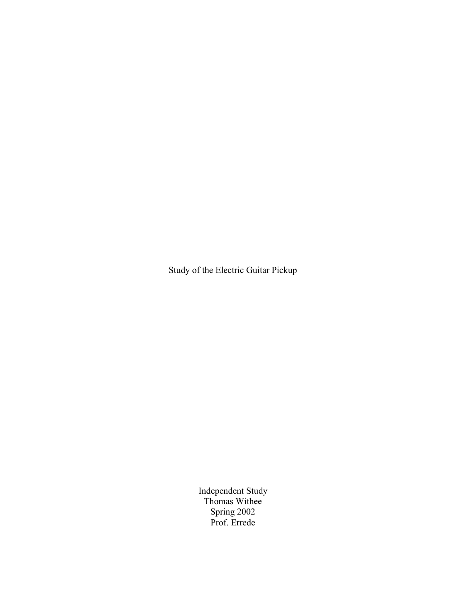Study of the Electric Guitar Pickup

Independent Study Thomas Withee Spring 2002 Prof. Errede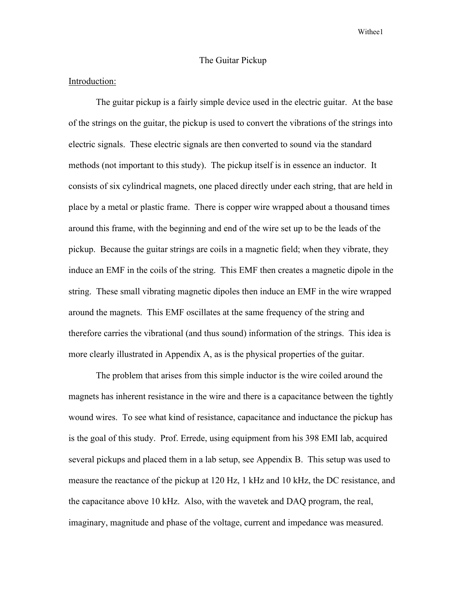## The Guitar Pickup

## Introduction:

The guitar pickup is a fairly simple device used in the electric guitar. At the base of the strings on the guitar, the pickup is used to convert the vibrations of the strings into electric signals. These electric signals are then converted to sound via the standard methods (not important to this study). The pickup itself is in essence an inductor. It consists of six cylindrical magnets, one placed directly under each string, that are held in place by a metal or plastic frame. There is copper wire wrapped about a thousand times around this frame, with the beginning and end of the wire set up to be the leads of the pickup. Because the guitar strings are coils in a magnetic field; when they vibrate, they induce an EMF in the coils of the string. This EMF then creates a magnetic dipole in the string. These small vibrating magnetic dipoles then induce an EMF in the wire wrapped around the magnets. This EMF oscillates at the same frequency of the string and therefore carries the vibrational (and thus sound) information of the strings. This idea is more clearly illustrated in Appendix A, as is the physical properties of the guitar.

The problem that arises from this simple inductor is the wire coiled around the magnets has inherent resistance in the wire and there is a capacitance between the tightly wound wires. To see what kind of resistance, capacitance and inductance the pickup has is the goal of this study. Prof. Errede, using equipment from his 398 EMI lab, acquired several pickups and placed them in a lab setup, see Appendix B. This setup was used to measure the reactance of the pickup at 120 Hz, 1 kHz and 10 kHz, the DC resistance, and the capacitance above 10 kHz. Also, with the wavetek and DAQ program, the real, imaginary, magnitude and phase of the voltage, current and impedance was measured.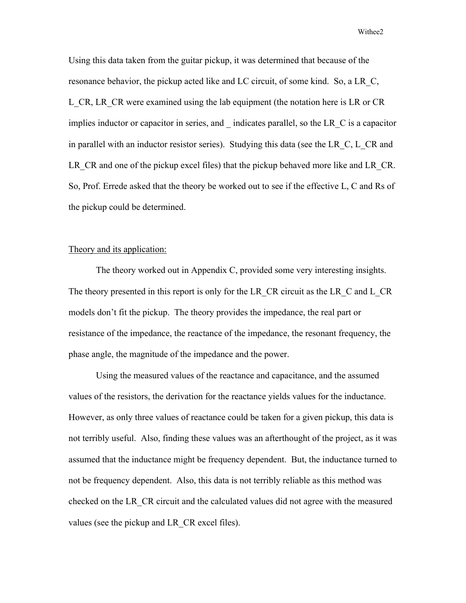Using this data taken from the guitar pickup, it was determined that because of the resonance behavior, the pickup acted like and LC circuit, of some kind. So, a LR\_C, L CR, LR CR were examined using the lab equipment (the notation here is LR or CR implies inductor or capacitor in series, and \_ indicates parallel, so the LR\_C is a capacitor in parallel with an inductor resistor series). Studying this data (see the LR\_C, L\_CR and LR CR and one of the pickup excel files) that the pickup behaved more like and LR CR. So, Prof. Errede asked that the theory be worked out to see if the effective L, C and Rs of the pickup could be determined.

## Theory and its application:

The theory worked out in Appendix C, provided some very interesting insights. The theory presented in this report is only for the LR\_CR circuit as the LR\_C and L\_CR models don't fit the pickup. The theory provides the impedance, the real part or resistance of the impedance, the reactance of the impedance, the resonant frequency, the phase angle, the magnitude of the impedance and the power.

Using the measured values of the reactance and capacitance, and the assumed values of the resistors, the derivation for the reactance yields values for the inductance. However, as only three values of reactance could be taken for a given pickup, this data is not terribly useful. Also, finding these values was an afterthought of the project, as it was assumed that the inductance might be frequency dependent. But, the inductance turned to not be frequency dependent. Also, this data is not terribly reliable as this method was checked on the LR\_CR circuit and the calculated values did not agree with the measured values (see the pickup and LR\_CR excel files).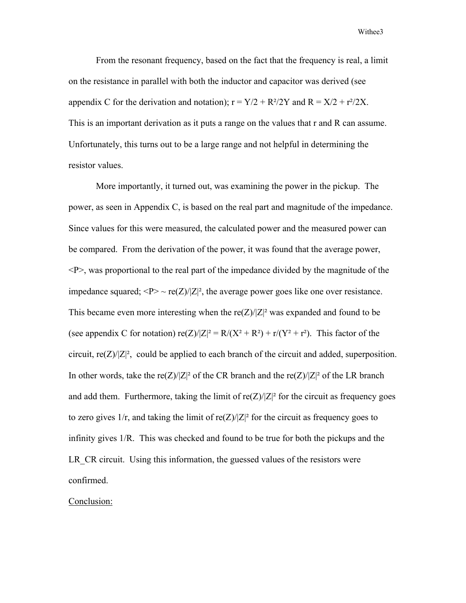From the resonant frequency, based on the fact that the frequency is real, a limit on the resistance in parallel with both the inductor and capacitor was derived (see appendix C for the derivation and notation);  $r = Y/2 + R^2/2Y$  and  $R = X/2 + r^2/2X$ . This is an important derivation as it puts a range on the values that r and R can assume. Unfortunately, this turns out to be a large range and not helpful in determining the resistor values.

More importantly, it turned out, was examining the power in the pickup. The power, as seen in Appendix C, is based on the real part and magnitude of the impedance. Since values for this were measured, the calculated power and the measured power can be compared. From the derivation of the power, it was found that the average power,  $\langle P \rangle$ , was proportional to the real part of the impedance divided by the magnitude of the impedance squared;  $\langle P \rangle \sim \text{re}(\mathbb{Z})/|\mathbb{Z}|^2$ , the average power goes like one over resistance. This became even more interesting when the re( $Z$ )/ $|Z|^2$  was expanded and found to be (see appendix C for notation)  $re(Z)/|Z|^2 = R/(X^2 + R^2) + r/(Y^2 + r^2)$ . This factor of the circuit,  $\text{re}(Z)/|Z|^2$ , could be applied to each branch of the circuit and added, superposition. In other words, take the re(Z)/|Z|<sup>2</sup> of the CR branch and the re(Z)/|Z|<sup>2</sup> of the LR branch and add them. Furthermore, taking the limit of  $\text{re}(\mathbb{Z})/|\mathbb{Z}|^2$  for the circuit as frequency goes to zero gives  $1/r$ , and taking the limit of re $(Z)/|Z|^2$  for the circuit as frequency goes to infinity gives 1/R. This was checked and found to be true for both the pickups and the LR CR circuit. Using this information, the guessed values of the resistors were confirmed.

## Conclusion: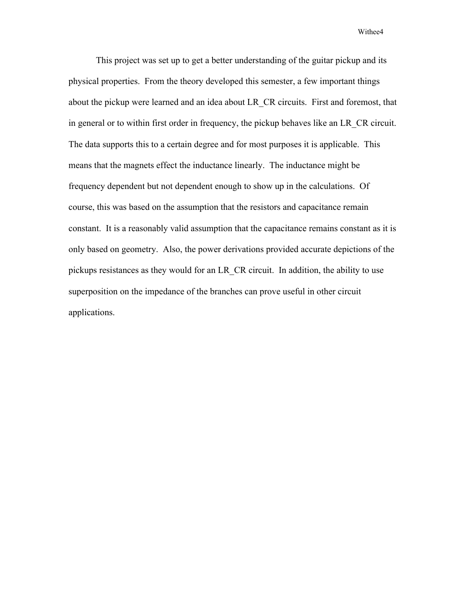This project was set up to get a better understanding of the guitar pickup and its physical properties. From the theory developed this semester, a few important things about the pickup were learned and an idea about LR\_CR circuits. First and foremost, that in general or to within first order in frequency, the pickup behaves like an LR\_CR circuit. The data supports this to a certain degree and for most purposes it is applicable. This means that the magnets effect the inductance linearly. The inductance might be frequency dependent but not dependent enough to show up in the calculations. Of course, this was based on the assumption that the resistors and capacitance remain constant. It is a reasonably valid assumption that the capacitance remains constant as it is only based on geometry. Also, the power derivations provided accurate depictions of the pickups resistances as they would for an LR\_CR circuit. In addition, the ability to use superposition on the impedance of the branches can prove useful in other circuit applications.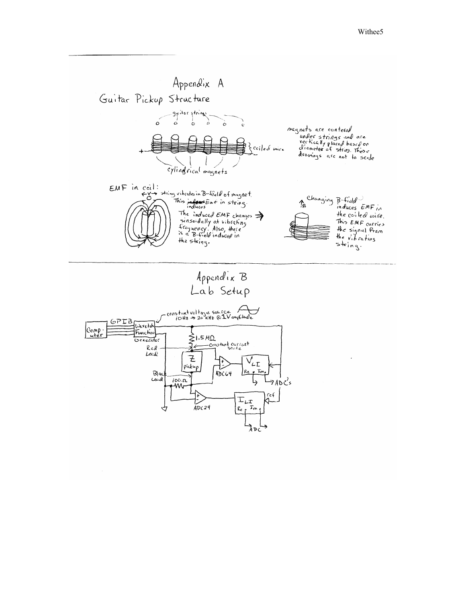

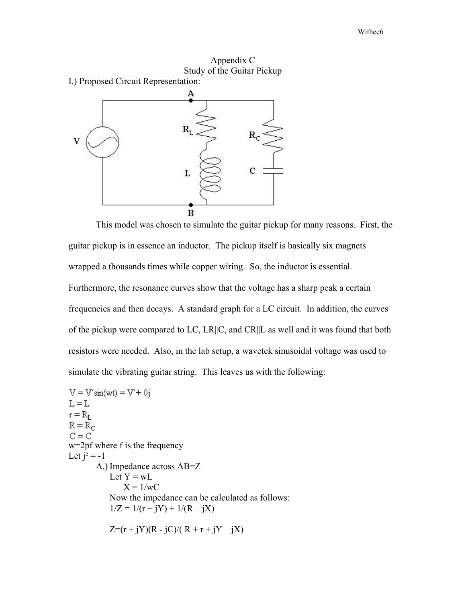



This model was chosen to simulate the guitar pickup for many reasons. First, the guitar pickup is in essence an inductor. The pickup itself is basically six magnets wrapped a thousands times while copper wiring. So, the inductor is essential. Furthermore, the resonance curves show that the voltage has a sharp peak a certain frequencies and then decays. A standard graph for a LC circuit. In addition, the curves of the pickup were compared to LC, LR||C, and CR||L as well and it was found that both resistors were needed. Also, in the lab setup, a wavetek sinusoidal voltage was used to simulate the vibrating guitar string. This leaves us with the following:

 $V = V'sin(wt) = V' + 0i$  $L = L$  $r = R_{L}$  $R = R_C$  $C = C$ w=2pf where f is the frequency Let  $i^2 = -1$ A.) Impedance across AB=Z Let  $Y = wL$  $X = 1/wC$ Now the impedance can be calculated as follows:  $1/Z = 1/(r + jY) + 1/(R - jX)$  $Z=(r + iY)(R - iC)/(R + r + iY - iX)$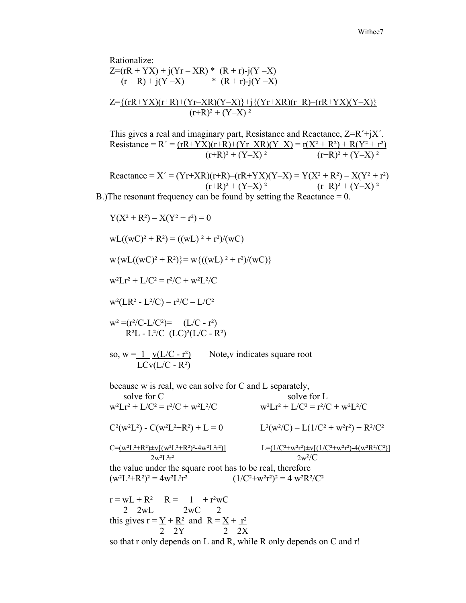Rationalize:  $Z=(rR + YX) + j(Yr - XR) * (R + r) - j(Y - X)$  $(r + R) + j(Y - X)$  \*  $(R + r) - j(Y - X)$ 

$$
Z=\frac{\{(rR+YX)(r+R)+(Yr-XR)(Y-X)\}+j\{(Yr+XR)(r+R)-(rR+YX)(Y-X)\}}{(r+R)^2+(Y-X)^2}
$$

This gives a real and imaginary part, Resistance and Reactance, Z=R´+jX´. Resistance = R´ =  $\frac{(rR+YX)(r+R)+(Yr-XR)(Y-X)}{(r+R)^2 + (Y-X)^2} = \frac{r(X^2+R^2) + R(Y^2+r^2)}{(r+R)^2 + (Y-X)^2}$  $(r+R)^2 + (Y-X)^2$ 

$$
Reactance = X' = \frac{(Yr+XR)(r+R) - (rR+YX)(Y-X)}{(r+R)^2 + (Y-X)^2} = \frac{Y(X^2 + R^2) - X(Y^2 + r^2)}{(r+R)^2 + (Y-X)^2}
$$

B.)The resonant frequency can be found by setting the Reactance = 0.

Y(X² + R²) – X(Y² + r²) = 0 wL((wC)² + R²) = ((wL) ² + r²)/(wC) w{wL((wC)² + R²)}= w{((wL) ² + r²)/(wC)} w²Lr² + L/C² = r²/C + w²L²/C w²(LR² - L²/C) = r²/C – L/C² w² =(r²/C-L/C²)= (L/C - r²) R²L - L²/C (LC)²(L/C - R²) so, w = 1 v(L/C - r²) Note,v indicates square root LCv(L/C - R²) because w is real, we can solve for C and L separately, solve for C solve for L w²Lr² + L/C² = r²/C + w²L²/C w²Lr² + L/C² = r²/C + w²L²/C C²(w²L²) - C(w²L²+R²) + L = 0 L²(w²/C) – L(1/C² + w²r²) + R²/C² C=(w²L²+R²)±v[(w²L²+R²)²-4w²L²r²)] L=(1/C²+w²r²)±v[(1/C²+w²r²)-4(w²R²/C²)] 2w²L²r² 2w²/C the value under the square root has to be real, therefore (w²L²+R²)² = 4w²L²r² (1/C²+w²r²)² = 4 w²R²/C² r = wL + R² R = 1 + r²wC 2 2wL 2wC 2 this gives r = Y + R² and R = X + r² 2 2Y 2 2X so that r only depends on L and R, while R only depends on C and r!